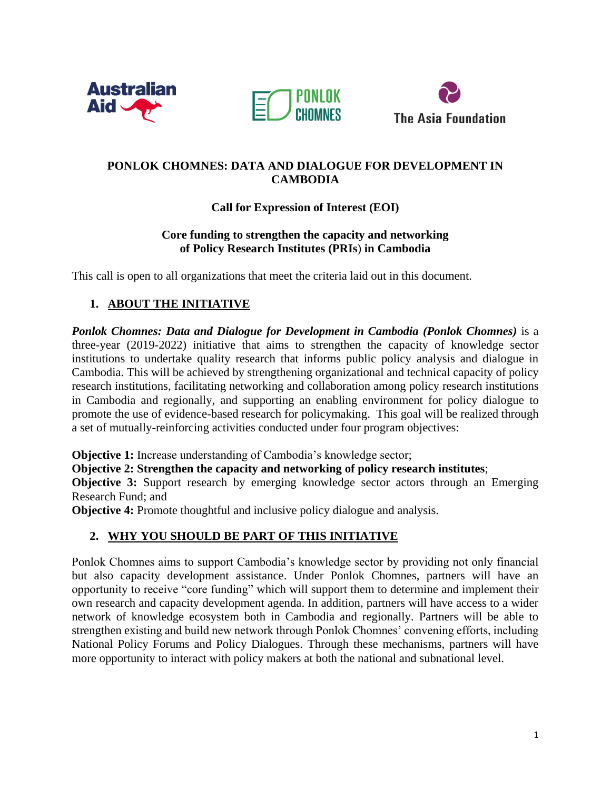





### **PONLOK CHOMNES: DATA AND DIALOGUE FOR DEVELOPMENT IN CAMBODIA**

## **Call for Expression of Interest (EOI)**

### **Core funding to strengthen the capacity and networking of Policy Research Institutes (PRIs**) **in Cambodia**

This call is open to all organizations that meet the criteria laid out in this document.

# **1. ABOUT THE INITIATIVE**

*Ponlok Chomnes: Data and Dialogue for Development in Cambodia (Ponlok Chomnes)* is a three-year (2019-2022) initiative that aims to strengthen the capacity of knowledge sector institutions to undertake quality research that informs public policy analysis and dialogue in Cambodia. This will be achieved by strengthening organizational and technical capacity of policy research institutions, facilitating networking and collaboration among policy research institutions in Cambodia and regionally, and supporting an enabling environment for policy dialogue to promote the use of evidence-based research for policymaking. This goal will be realized through a set of mutually-reinforcing activities conducted under four program objectives:

**Objective 1:** Increase understanding of Cambodia's knowledge sector;

**Objective 2: Strengthen the capacity and networking of policy research institutes**;

**Objective 3:** Support research by emerging knowledge sector actors through an Emerging Research Fund; and

**Objective 4:** Promote thoughtful and inclusive policy dialogue and analysis.

## **2. WHY YOU SHOULD BE PART OF THIS INITIATIVE**

Ponlok Chomnes aims to support Cambodia's knowledge sector by providing not only financial but also capacity development assistance. Under Ponlok Chomnes, partners will have an opportunity to receive "core funding" which will support them to determine and implement their own research and capacity development agenda. In addition, partners will have access to a wider network of knowledge ecosystem both in Cambodia and regionally. Partners will be able to strengthen existing and build new network through Ponlok Chomnes' convening efforts, including National Policy Forums and Policy Dialogues. Through these mechanisms, partners will have more opportunity to interact with policy makers at both the national and subnational level.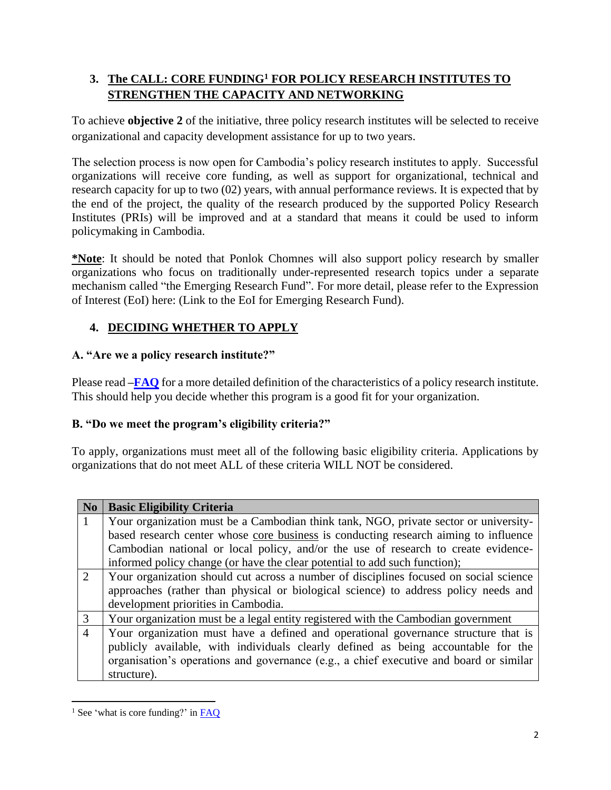# **3. The CALL: CORE FUNDING<sup>1</sup> FOR POLICY RESEARCH INSTITUTES TO STRENGTHEN THE CAPACITY AND NETWORKING**

To achieve **objective 2** of the initiative, three policy research institutes will be selected to receive organizational and capacity development assistance for up to two years.

The selection process is now open for Cambodia's policy research institutes to apply. Successful organizations will receive core funding, as well as support for organizational, technical and research capacity for up to two (02) years, with annual performance reviews. It is expected that by the end of the project, the quality of the research produced by the supported Policy Research Institutes (PRIs) will be improved and at a standard that means it could be used to inform policymaking in Cambodia.

**\*Note**: It should be noted that Ponlok Chomnes will also support policy research by smaller organizations who focus on traditionally under-represented research topics under a separate mechanism called "the Emerging Research Fund". For more detail, please refer to the Expression of Interest (EoI) here: (Link to the EoI for Emerging Research Fund).

# **4. DECIDING WHETHER TO APPLY**

## **A. "Are we a policy research institute?"**

Please read **[–FAQ](http://policypulse.org/wp-content/uploads/2019/08/FAQ-EOIs-Sk.pdf)** for a more detailed definition of the characteristics of a policy research institute. This should help you decide whether this program is a good fit for your organization.

## **B. "Do we meet the program's eligibility criteria?"**

To apply, organizations must meet all of the following basic eligibility criteria. Applications by organizations that do not meet ALL of these criteria WILL NOT be considered.

| N <sub>0</sub>              | <b>Basic Eligibility Criteria</b>                                                      |  |  |  |
|-----------------------------|----------------------------------------------------------------------------------------|--|--|--|
|                             | Your organization must be a Cambodian think tank, NGO, private sector or university-   |  |  |  |
|                             | based research center whose core business is conducting research aiming to influence   |  |  |  |
|                             | Cambodian national or local policy, and/or the use of research to create evidence-     |  |  |  |
|                             | informed policy change (or have the clear potential to add such function);             |  |  |  |
| $\mathcal{D}_{\mathcal{L}}$ | Your organization should cut across a number of disciplines focused on social science  |  |  |  |
|                             | approaches (rather than physical or biological science) to address policy needs and    |  |  |  |
|                             | development priorities in Cambodia.                                                    |  |  |  |
| 3                           | Your organization must be a legal entity registered with the Cambodian government      |  |  |  |
| $\overline{4}$              | Your organization must have a defined and operational governance structure that is     |  |  |  |
|                             | publicly available, with individuals clearly defined as being accountable for the      |  |  |  |
|                             | organisation's operations and governance (e.g., a chief executive and board or similar |  |  |  |
|                             | structure).                                                                            |  |  |  |

 $\overline{\phantom{a}}$ <sup>1</sup> See 'what is core funding?' in  $FAQ$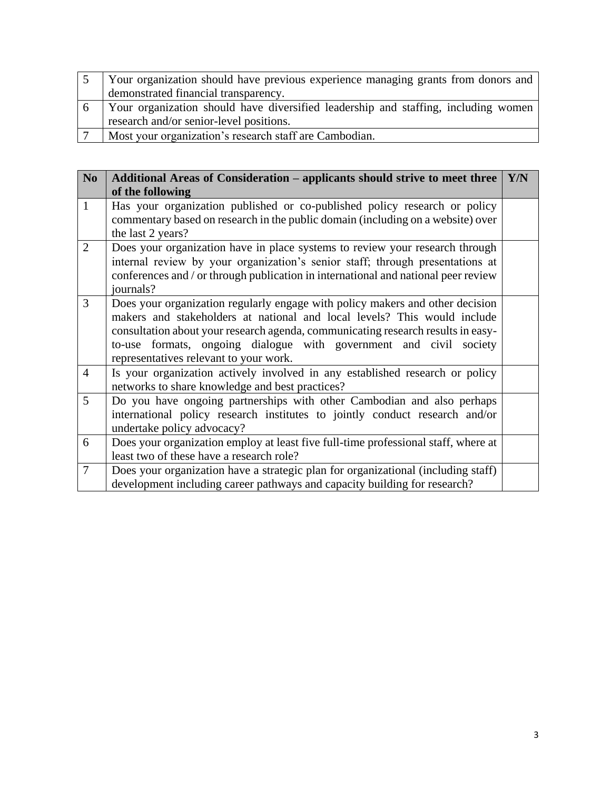|    | Your organization should have previous experience managing grants from donors and  |  |  |  |
|----|------------------------------------------------------------------------------------|--|--|--|
|    | demonstrated financial transparency.                                               |  |  |  |
| -6 | Your organization should have diversified leadership and staffing, including women |  |  |  |
|    | research and/or senior-level positions.                                            |  |  |  |
|    | Most your organization's research staff are Cambodian.                             |  |  |  |

| N <sub>0</sub> | Additional Areas of Consideration – applicants should strive to meet three<br>of the following                                                                                                                                                                                                                                                                | Y/N |
|----------------|---------------------------------------------------------------------------------------------------------------------------------------------------------------------------------------------------------------------------------------------------------------------------------------------------------------------------------------------------------------|-----|
| $\mathbf{1}$   | Has your organization published or co-published policy research or policy<br>commentary based on research in the public domain (including on a website) over<br>the last 2 years?                                                                                                                                                                             |     |
| $\overline{2}$ | Does your organization have in place systems to review your research through<br>internal review by your organization's senior staff; through presentations at<br>conferences and / or through publication in international and national peer review<br>journals?                                                                                              |     |
| $\overline{3}$ | Does your organization regularly engage with policy makers and other decision<br>makers and stakeholders at national and local levels? This would include<br>consultation about your research agenda, communicating research results in easy-<br>to-use formats, ongoing dialogue with government and civil society<br>representatives relevant to your work. |     |
| $\overline{4}$ | Is your organization actively involved in any established research or policy<br>networks to share knowledge and best practices?                                                                                                                                                                                                                               |     |
| 5              | Do you have ongoing partnerships with other Cambodian and also perhaps<br>international policy research institutes to jointly conduct research and/or<br>undertake policy advocacy?                                                                                                                                                                           |     |
| 6              | Does your organization employ at least five full-time professional staff, where at<br>least two of these have a research role?                                                                                                                                                                                                                                |     |
| $\overline{7}$ | Does your organization have a strategic plan for organizational (including staff)<br>development including career pathways and capacity building for research?                                                                                                                                                                                                |     |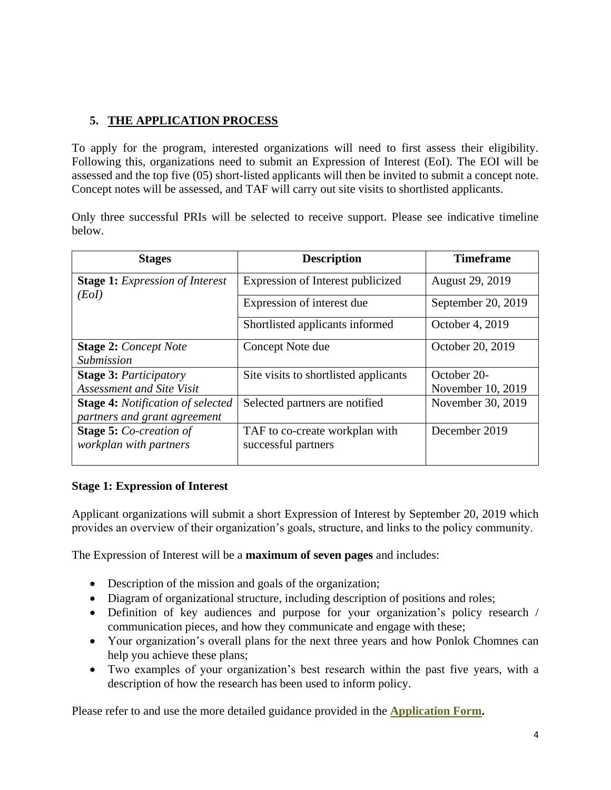# **5. THE APPLICATION PROCESS**

To apply for the program, interested organizations will need to first assess their eligibility. Following this, organizations need to submit an Expression of Interest (EoI). The EOI will be assessed and the top five (05) short-listed applicants will then be invited to submit a concept note. Concept notes will be assessed, and TAF will carry out site visits to shortlisted applicants.

Only three successful PRIs will be selected to receive support. Please see indicative timeline below.

| <b>Stages</b>                                   | <b>Description</b>                    | <b>Timeframe</b>   |
|-------------------------------------------------|---------------------------------------|--------------------|
| <b>Stage 1:</b> Expression of Interest<br>(EoI) | Expression of Interest publicized     | August 29, 2019    |
|                                                 | Expression of interest due            | September 20, 2019 |
|                                                 | Shortlisted applicants informed       | October 4, 2019    |
| <b>Stage 2: Concept Note</b>                    | Concept Note due                      | October 20, 2019   |
| Submission                                      |                                       |                    |
| <b>Stage 3: Participatory</b>                   | Site visits to shortlisted applicants | October 20-        |
| <b>Assessment and Site Visit</b>                |                                       | November 10, 2019  |
| <b>Stage 4:</b> Notification of selected        | Selected partners are notified        | November 30, 2019  |
| partners and grant agreement                    |                                       |                    |
| <b>Stage 5: Co-creation of</b>                  | TAF to co-create workplan with        | December 2019      |
| workplan with partners                          | successful partners                   |                    |

### **Stage 1: Expression of Interest**

Applicant organizations will submit a short Expression of Interest by September 20, 2019 which provides an overview of their organization's goals, structure, and links to the policy community.

The Expression of Interest will be a **maximum of seven pages** and includes:

- Description of the mission and goals of the organization;
- Diagram of organizational structure, including description of positions and roles;
- Definition of key audiences and purpose for your organization's policy research / communication pieces, and how they communicate and engage with these;
- Your organization's overall plans for the next three years and how Ponlok Chomnes can help you achieve these plans;
- Two examples of your organization's best research within the past five years, with a description of how the research has been used to inform policy.

Please refer to and use the more detailed guidance provided in the **[Application Form.](https://forms.office.com/Pages/ResponsePage.aspx?id=RGhFuu9E2EuO_r7KUp4HcVNpdd4y-AtOs8A43G-TehNUMkxPUzZMTlRMSklBNkVFNzAzQzVQOEVZVS4u)**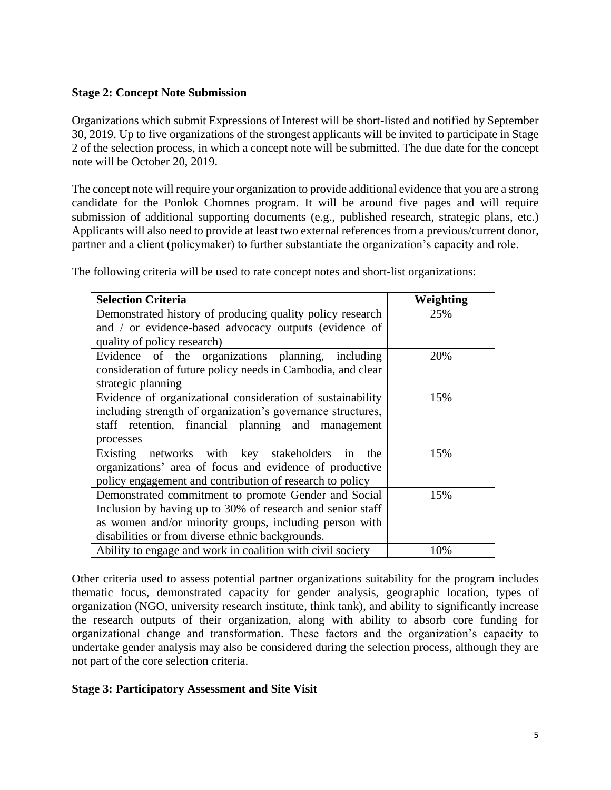### **Stage 2: Concept Note Submission**

Organizations which submit Expressions of Interest will be short-listed and notified by September 30, 2019. Up to five organizations of the strongest applicants will be invited to participate in Stage 2 of the selection process, in which a concept note will be submitted. The due date for the concept note will be October 20, 2019.

The concept note will require your organization to provide additional evidence that you are a strong candidate for the Ponlok Chomnes program. It will be around five pages and will require submission of additional supporting documents (e.g., published research, strategic plans, etc.) Applicants will also need to provide at least two external references from a previous/current donor, partner and a client (policymaker) to further substantiate the organization's capacity and role.

|  |  | The following criteria will be used to rate concept notes and short-list organizations: |
|--|--|-----------------------------------------------------------------------------------------|
|  |  |                                                                                         |

| <b>Selection Criteria</b>                                   | Weighting |
|-------------------------------------------------------------|-----------|
| Demonstrated history of producing quality policy research   | 25%       |
| and / or evidence-based advocacy outputs (evidence of       |           |
| quality of policy research)                                 |           |
| Evidence of the organizations planning, including           | 20%       |
| consideration of future policy needs in Cambodia, and clear |           |
| strategic planning                                          |           |
| Evidence of organizational consideration of sustainability  | 15%       |
| including strength of organization's governance structures, |           |
| staff retention, financial planning and management          |           |
| processes                                                   |           |
| Existing networks with key stakeholders<br>in the           | 15%       |
| organizations' area of focus and evidence of productive     |           |
| policy engagement and contribution of research to policy    |           |
| Demonstrated commitment to promote Gender and Social        | 15%       |
| Inclusion by having up to 30% of research and senior staff  |           |
| as women and/or minority groups, including person with      |           |
| disabilities or from diverse ethnic backgrounds.            |           |
| Ability to engage and work in coalition with civil society  | 10%       |

Other criteria used to assess potential partner organizations suitability for the program includes thematic focus, demonstrated capacity for gender analysis, geographic location, types of organization (NGO, university research institute, think tank), and ability to significantly increase the research outputs of their organization, along with ability to absorb core funding for organizational change and transformation. These factors and the organization's capacity to undertake gender analysis may also be considered during the selection process, although they are not part of the core selection criteria.

#### **Stage 3: Participatory Assessment and Site Visit**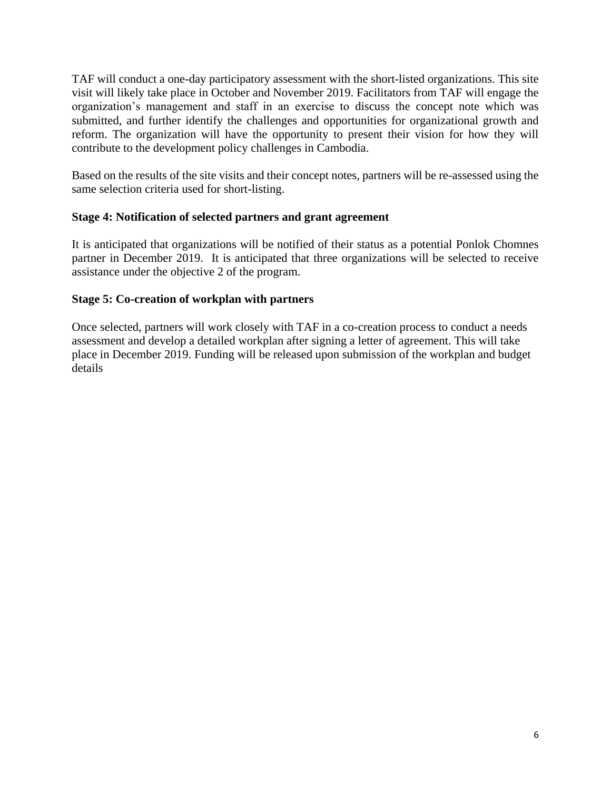TAF will conduct a one-day participatory assessment with the short-listed organizations. This site visit will likely take place in October and November 2019. Facilitators from TAF will engage the organization's management and staff in an exercise to discuss the concept note which was submitted, and further identify the challenges and opportunities for organizational growth and reform. The organization will have the opportunity to present their vision for how they will contribute to the development policy challenges in Cambodia.

Based on the results of the site visits and their concept notes, partners will be re-assessed using the same selection criteria used for short-listing.

### **Stage 4: Notification of selected partners and grant agreement**

It is anticipated that organizations will be notified of their status as a potential Ponlok Chomnes partner in December 2019. It is anticipated that three organizations will be selected to receive assistance under the objective 2 of the program.

#### **Stage 5: Co-creation of workplan with partners**

Once selected, partners will work closely with TAF in a co-creation process to conduct a needs assessment and develop a detailed workplan after signing a letter of agreement. This will take place in December 2019. Funding will be released upon submission of the workplan and budget details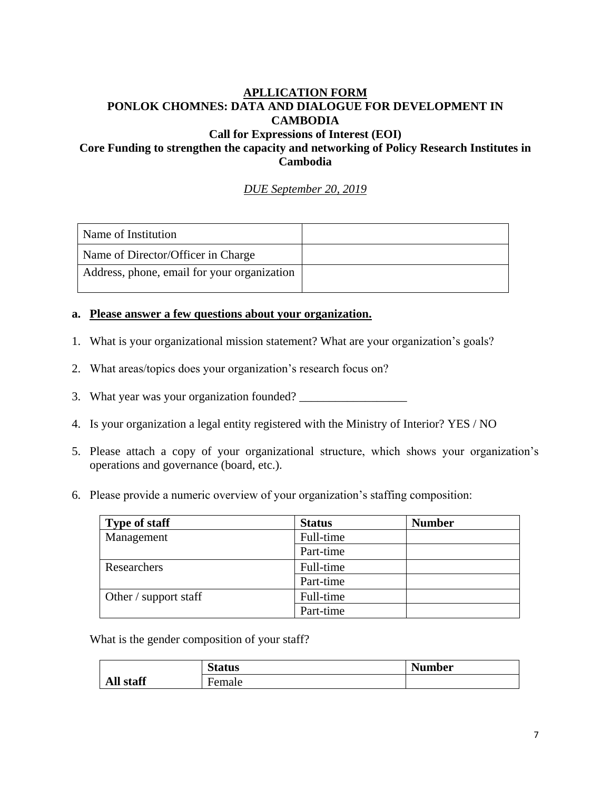### **APLLICATION FORM PONLOK CHOMNES: DATA AND DIALOGUE FOR DEVELOPMENT IN CAMBODIA Call for Expressions of Interest (EOI) Core Funding to strengthen the capacity and networking of Policy Research Institutes in**

**Cambodia**

*DUE September 20, 2019*

| Name of Institution                         |  |
|---------------------------------------------|--|
| Name of Director/Officer in Charge          |  |
| Address, phone, email for your organization |  |

#### **a. Please answer a few questions about your organization.**

- 1. What is your organizational mission statement? What are your organization's goals?
- 2. What areas/topics does your organization's research focus on?
- 3. What year was your organization founded?
- 4. Is your organization a legal entity registered with the Ministry of Interior? YES / NO
- 5. Please attach a copy of your organizational structure, which shows your organization's operations and governance (board, etc.).
- 6. Please provide a numeric overview of your organization's staffing composition:

| <b>Type of staff</b>  | <b>Status</b> | <b>Number</b> |
|-----------------------|---------------|---------------|
| Management            | Full-time     |               |
|                       | Part-time     |               |
| Researchers           | Full-time     |               |
|                       | Part-time     |               |
| Other / support staff | Full-time     |               |
|                       | Part-time     |               |

What is the gender composition of your staff?

|              | C.<br><b>Status</b> | <b>Number</b> |
|--------------|---------------------|---------------|
| All<br>staff | Female              |               |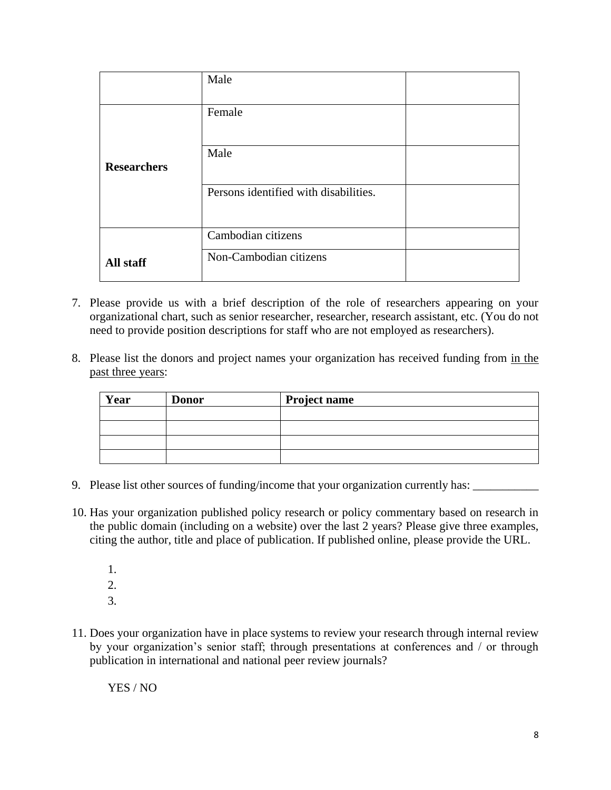|                    | Male                                  |  |
|--------------------|---------------------------------------|--|
|                    | Female                                |  |
| <b>Researchers</b> | Male                                  |  |
|                    | Persons identified with disabilities. |  |
|                    | Cambodian citizens                    |  |
| All staff          | Non-Cambodian citizens                |  |

- 7. Please provide us with a brief description of the role of researchers appearing on your organizational chart, such as senior researcher, researcher, research assistant, etc. (You do not need to provide position descriptions for staff who are not employed as researchers).
- 8. Please list the donors and project names your organization has received funding from in the past three years:

| Year | <b>Donor</b> | <b>Project name</b> |
|------|--------------|---------------------|
|      |              |                     |
|      |              |                     |
|      |              |                     |
|      |              |                     |

- 9. Please list other sources of funding/income that your organization currently has:
- 10. Has your organization published policy research or policy commentary based on research in the public domain (including on a website) over the last 2 years? Please give three examples, citing the author, title and place of publication. If published online, please provide the URL.
	- 1.
	- 2.
	- 3.
- 11. Does your organization have in place systems to review your research through internal review by your organization's senior staff; through presentations at conferences and / or through publication in international and national peer review journals?

YES / NO